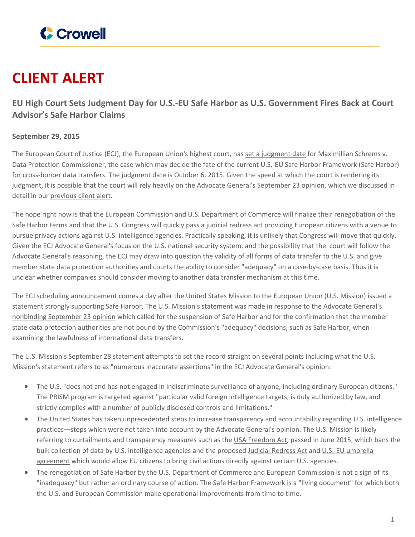

## **CLIENT ALERT**

**EU High Court Sets Judgment Day for U.S.-EU Safe Harbor as U.S. Government Fires Back at Court Advisor's Safe Harbor Claims**

## **September 29, 2015**

The European Court of Justice (ECJ), the European Union's highest court, has set a [judgment](http://curia.europa.eu/jcms/jcms/Jo1_6581/?dateDebut=6/10/2015&dateFin=6/10/2015) date for Maximillian Schrems v. Data Protection Commissioner, the case which may decide the fate of the current U.S.-EU Safe Harbor Framework (Safe Harbor) for cross-border data transfers. The judgment date is October 6, 2015. Given the speed at which the court is rendering its judgment, it is possible that the court will rely heavily on the Advocate General's September 23 opinion, which we discussed in detail in our [previous](https://www.crowell.com/NewsEvents/AlertsNewsletters/all/In-Depth-European-Union-High-Court-Advisor-Recommends-Suspension-of-Safe-Harbor) client alert.

The hope right now is that the European Commission and U.S. Department of Commerce will finalize their renegotiation of the Safe Harbor terms and that the U.S. Congress will quickly pass a judicial redress act providing European citizens with a venue to pursue privacy actions against U.S. intelligence agencies. Practically speaking, it is unlikely that Congress will move that quickly. Given the ECJ Advocate General's focus on the U.S. national security system, and the possibility that the court will follow the Advocate General's reasoning, the ECJ may draw into question the validity of all forms of data transfer to the U.S. and give member state data protection authorities and courts the ability to consider "adequacy" on a case-by-case basis. Thus it is unclear whether companies should consider moving to another data transfer mechanism at this time.

The ECJ scheduling announcement comes a day after the United States Mission to the European Union (U.S. Mission) issued a statement strongly supporting Safe Harbor. The U.S. Mission's statement was made in response to the Advocate General's [nonbinding](http://curia.europa.eu/jcms/upload/docs/application/pdf/2015-09/cp150106en.pdf) September 23 opinion which called for the suspension of Safe Harbor and for the confirmation that the member state data protection authorities are not bound by the Commission's "adequacy" decisions, such as Safe Harbor, when examining the lawfulness of international data transfers.

The U.S. Mission's September 28 statement attempts to set the record straight on several points including what the U.S. Mission's statement refers to as "numerous inaccurate assertions" in the ECJ Advocate General's opinion:

- The U.S. "does not and has not engaged in indiscriminate surveillance of anyone, including ordinary European citizens." The PRISM program is targeted against "particular valid foreign intelligence targets, is duly authorized by law, and strictly complies with a number of publicly disclosed controls and limitations."
- The United States has taken unprecedented steps to increase transparency and accountability regarding U.S. intelligence practices—steps which were not taken into account by the Advocate General's opinion. The U.S. Mission is likely referring to curtailments and transparency measures such as the USA [Freedom](http://www.nytimes.com/2015/06/03/us/politics/senate-surveillance-bill-passes-hurdle-but-showdown-looms.html?_r=0) Act, passed in June 2015, which bans the bulk collection of data by U.S. intelligence agencies and the proposed Judicial [Redress](https://www.congress.gov/bill/114th-congress/house-bill/1428) Act and U.S.-EU [umbrella](https://www.crowell.com/NewsEvents/AlertsNewsletters/all/Movement-in-US-EU-Data-Transfer-Agreements) [agreement](https://www.crowell.com/NewsEvents/AlertsNewsletters/all/Movement-in-US-EU-Data-Transfer-Agreements) which would allow EU citizens to bring civil actions directly against certain U.S. agencies.
- The renegotiation of Safe Harbor by the U.S. Department of Commerce and European Commission is not a sign of its "inadequacy" but rather an ordinary course of action. The Safe Harbor Framework is a "living document" for which both the U.S. and European Commission make operational improvements from time to time.